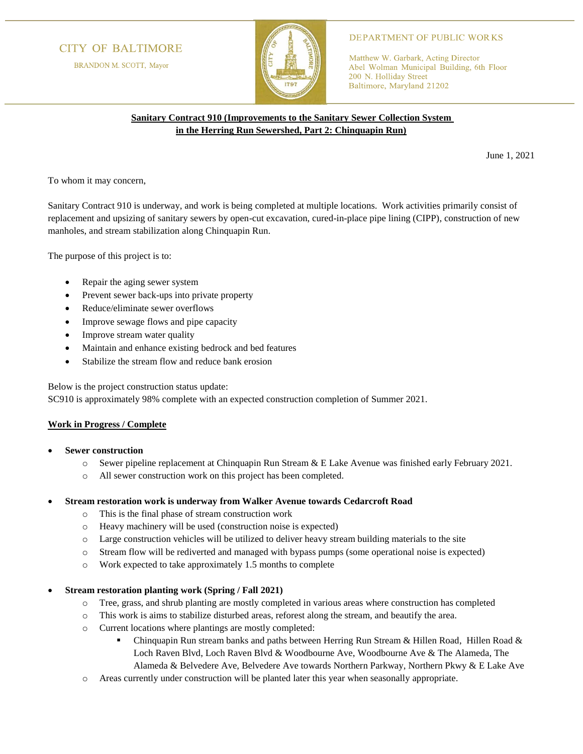# **CITY OF BALTIMORE**

BRANDON M. SCOTT, Mayor



### **DEPARTMENT OF PUBLIC WORKS**

Matthew W. Garbark, Acting Director Abel Wolman Municipal Building, 6th Floor 200 N. Holliday Street Baltimore, Maryland 21202

## **Sanitary Contract 910 (Improvements to the Sanitary Sewer Collection System in the Herring Run Sewershed, Part 2: Chinquapin Run)**

June 1, 2021

To whom it may concern,

Sanitary Contract 910 is underway, and work is being completed at multiple locations. Work activities primarily consist of replacement and upsizing of sanitary sewers by open-cut excavation, cured-in-place pipe lining (CIPP), construction of new manholes, and stream stabilization along Chinquapin Run.

The purpose of this project is to:

- Repair the aging sewer system
- Prevent sewer back-ups into private property
- Reduce/eliminate sewer overflows
- Improve sewage flows and pipe capacity
- Improve stream water quality
- Maintain and enhance existing bedrock and bed features
- Stabilize the stream flow and reduce bank erosion

Below is the project construction status update:

SC910 is approximately 98% complete with an expected construction completion of Summer 2021.

## **Work in Progress / Complete**

- **Sewer construction**
	- o Sewer pipeline replacement at Chinquapin Run Stream & E Lake Avenue was finished early February 2021.
	- o All sewer construction work on this project has been completed.

#### • **Stream restoration work is underway from Walker Avenue towards Cedarcroft Road**

- o This is the final phase of stream construction work
- o Heavy machinery will be used (construction noise is expected)
- o Large construction vehicles will be utilized to deliver heavy stream building materials to the site
- o Stream flow will be rediverted and managed with bypass pumps (some operational noise is expected)
- o Work expected to take approximately 1.5 months to complete

#### • **Stream restoration planting work (Spring / Fall 2021)**

- o Tree, grass, and shrub planting are mostly completed in various areas where construction has completed
- o This work is aims to stabilize disturbed areas, reforest along the stream, and beautify the area.
- o Current locations where plantings are mostly completed:
	- Chinquapin Run stream banks and paths between Herring Run Stream & Hillen Road, Hillen Road & Loch Raven Blvd, Loch Raven Blvd & Woodbourne Ave, Woodbourne Ave & The Alameda, The Alameda & Belvedere Ave, Belvedere Ave towards Northern Parkway, Northern Pkwy & E Lake Ave
- Areas currently under construction will be planted later this year when seasonally appropriate.